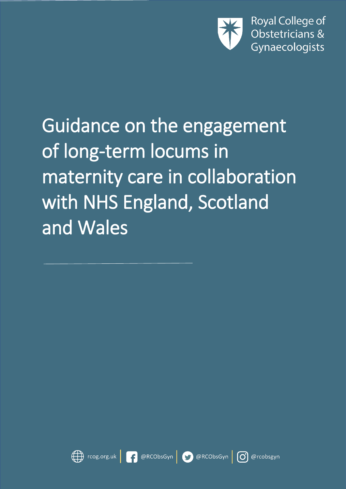

Guidance on the engagement of long-term locums in maternity care in collaboration with NHS England, Scotland and Wales

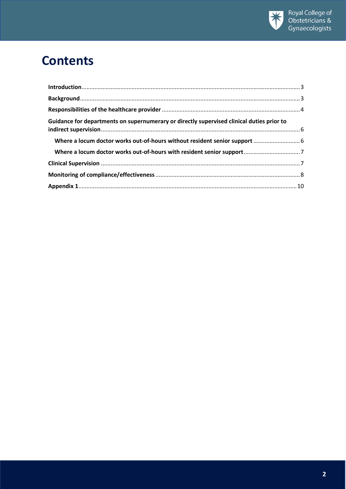

## **Contents**

| Guidance for departments on supernumerary or directly supervised clinical duties prior to |  |
|-------------------------------------------------------------------------------------------|--|
|                                                                                           |  |
|                                                                                           |  |
|                                                                                           |  |
|                                                                                           |  |
|                                                                                           |  |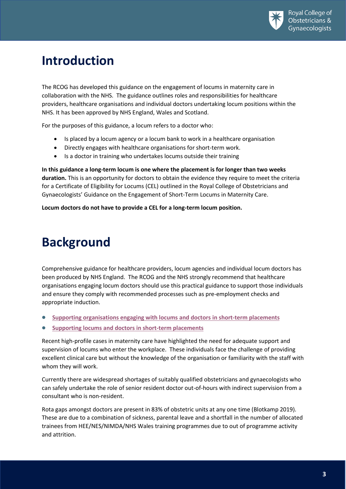

### <span id="page-2-0"></span>**Introduction**

The RCOG has developed this guidance on the engagement of locums in maternity care in collaboration with the NHS. The guidance outlines roles and responsibilities for healthcare providers, healthcare organisations and individual doctors undertaking locum positions within the NHS. It has been approved by NHS England, Wales and Scotland.

For the purposes of this guidance, a locum refers to a doctor who:

- Is placed by a locum agency or a locum bank to work in a healthcare organisation
- Directly engages with healthcare organisations for short-term work.
- Is a doctor in training who undertakes locums outside their training

**In this guidance a long-term locum is one where the placement is for longer than two weeks duration.** This is an opportunity for doctors to obtain the evidence they require to meet the criteria for a Certificate of Eligibility for Locums (CEL) outlined in the Royal College of Obstetricians and Gynaecologists' Guidance on the Engagement of Short-Term Locums in Maternity Care.

**Locum doctors do not have to provide a CEL for a long-term locum position.**

# <span id="page-2-1"></span>**Background**

Comprehensive guidance for healthcare providers, locum agencies and individual locum doctors has been produced by NHS England. The RCOG and the NHS strongly recommend that healthcare organisations engaging locum doctors should use this practical guidance to support those individuals and ensure they comply with recommended processes such as pre-employment checks and appropriate induction.

- **[Supporting organisations engaging with locums and doctors](https://www.england.nhs.uk/wp-content/uploads/2018/10/supporting_locum_agencies_and_providers.pdf) in short-term placements**
- **[Supporting locums and doctors in short-term placements](https://www.england.nhs.uk/wp-content/uploads/2018/10/supporting_locums_doctors.pdf)**

Recent high-profile cases in maternity care have highlighted the need for adequate support and supervision of locums who enter the workplace. These individuals face the challenge of providing excellent clinical care but without the knowledge of the organisation or familiarity with the staff with whom they will work.

Currently there are widespread shortages of suitably qualified obstetricians and gynaecologists who can safely undertake the role of senior resident doctor out-of-hours with indirect supervision from a consultant who is non-resident.

Rota gaps amongst doctors are present in 83% of obstetric units at any one time (Blotkamp 2019). These are due to a combination of sickness, parental leave and a shortfall in the number of allocated trainees from HEE/NES/NIMDA/NHS Wales training programmes due to out of programme activity and attrition.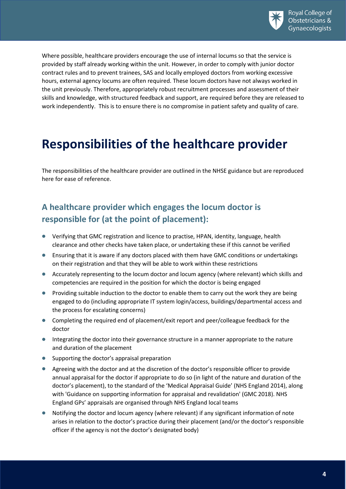

Where possible, healthcare providers encourage the use of internal locums so that the service is provided by staff already working within the unit. However, in order to comply with junior doctor contract rules and to prevent trainees, SAS and locally employed doctors from working excessive hours, external agency locums are often required. These locum doctors have not always worked in the unit previously. Therefore, appropriately robust recruitment processes and assessment of their skills and knowledge, with structured feedback and support, are required before they are released to work independently. This is to ensure there is no compromise in patient safety and quality of care.

### <span id="page-3-0"></span>**Responsibilities of the healthcare provider**

The responsibilities of the healthcare provider are outlined in the NHSE guidance but are reproduced here for ease of reference.

### **A healthcare provider which engages the locum doctor is responsible for (at the point of placement):**

- Verifying that GMC registration and licence to practise, HPAN, identity, language, health clearance and other checks have taken place, or undertaking these if this cannot be verified
- Ensuring that it is aware if any doctors placed with them have GMC conditions or undertakings on their registration and that they will be able to work within these restrictions
- Accurately representing to the locum doctor and locum agency (where relevant) which skills and competencies are required in the position for which the doctor is being engaged
- **Providing suitable induction to the doctor to enable them to carry out the work they are being** engaged to do (including appropriate IT system login/access, buildings/departmental access and the process for escalating concerns)
- Completing the required end of placement/exit report and peer/colleague feedback for the doctor
- **Integrating the doctor into their governance structure in a manner appropriate to the nature** and duration of the placement
- Supporting the doctor's appraisal preparation
- Agreeing with the doctor and at the discretion of the doctor's responsible officer to provide annual appraisal for the doctor if appropriate to do so (in light of the nature and duration of the doctor's placement), to the standard of the 'Medical Appraisal Guide' (NHS England 2014), along with 'Guidance on supporting information for appraisal and revalidation' (GMC 2018). NHS England GPs' appraisals are organised through NHS England local teams
- Notifying the doctor and locum agency (where relevant) if any significant information of note arises in relation to the doctor's practice during their placement (and/or the doctor's responsible officer if the agency is not the doctor's designated body)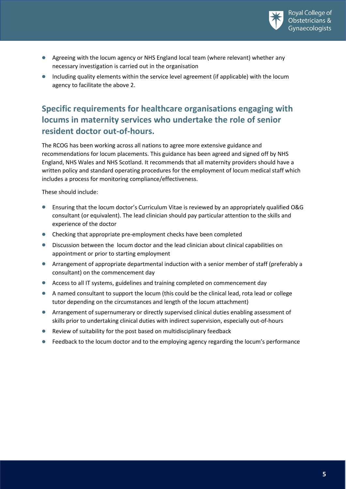

- Agreeing with the locum agency or NHS England local team (where relevant) whether any necessary investigation is carried out in the organisation
- Including quality elements within the service level agreement (if applicable) with the locum agency to facilitate the above 2.

### **Specific requirements for healthcare organisations engaging with locums in maternity services who undertake the role of senior resident doctor out-of-hours.**

The RCOG has been working across all nations to agree more extensive guidance and recommendations for locum placements. This guidance has been agreed and signed off by NHS England, NHS Wales and NHS Scotland. It recommends that all maternity providers should have a written policy and standard operating procedures for the employment of locum medical staff which includes a process for monitoring compliance/effectiveness.

These should include:

- Ensuring that the locum doctor's Curriculum Vitae is reviewed by an appropriately qualified O&G consultant (or equivalent). The lead clinician should pay particular attention to the skills and experience of the doctor
- Checking that appropriate pre-employment checks have been completed
- Discussion between the locum doctor and the lead clinician about clinical capabilities on appointment or prior to starting employment
- Arrangement of appropriate departmental induction with a senior member of staff (preferably a consultant) on the commencement day
- Access to all IT systems, guidelines and training completed on commencement day
- A named consultant to support the locum (this could be the clinical lead, rota lead or college tutor depending on the circumstances and length of the locum attachment)
- Arrangement of supernumerary or directly supervised clinical duties enabling assessment of skills prior to undertaking clinical duties with indirect supervision, especially out-of-hours
- Review of suitability for the post based on multidisciplinary feedback
- **•** Feedback to the locum doctor and to the employing agency regarding the locum's performance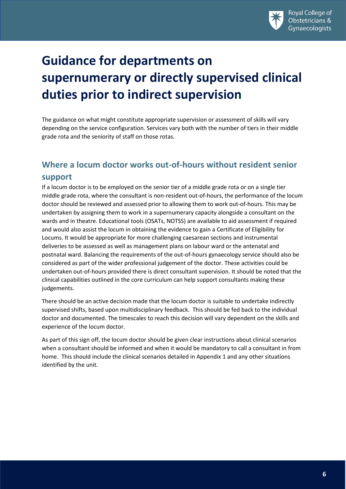

# <span id="page-5-0"></span>**Guidance for departments on supernumerary or directly supervised clinical duties prior to indirect supervision**

The guidance on what might constitute appropriate supervision or assessment of skills will vary depending on the service configuration. Services vary both with the number of tiers in their middle grade rota and the seniority of staff on those rotas.

### <span id="page-5-1"></span>**Where a locum doctor works out-of-hours without resident senior support**

If a locum doctor is to be employed on the senior tier of a middle grade rota or on a single tier middle grade rota, where the consultant is non-resident out-of-hours, the performance of the locum doctor should be reviewed and assessed prior to allowing them to work out-of-hours. This may be undertaken by assigning them to work in a supernumerary capacity alongside a consultant on the wards and in theatre. Educational tools (OSATs, NOTSS) are available to aid assessment if required and would also assist the locum in obtaining the evidence to gain a Certificate of Eligibility for Locums. It would be appropriate for more challenging caesarean sections and instrumental deliveries to be assessed as well as management plans on labour ward or the antenatal and postnatal ward. Balancing the requirements of the out-of-hours gynaecology service should also be considered as part of the wider professional judgement of the doctor. These activities could be undertaken out-of-hours provided there is direct consultant supervision. It should be noted that the clinical capabilities outlined in the core curriculum can help support consultants making these judgements.

There should be an active decision made that the locum doctor is suitable to undertake indirectly supervised shifts, based upon multidisciplinary feedback. This should be fed back to the individual doctor and documented. The timescales to reach this decision will vary dependent on the skills and experience of the locum doctor.

As part of this sign off, the locum doctor should be given clear instructions about clinical scenarios when a consultant should be informed and when it would be mandatory to call a consultant in from home. This should include the clinical scenarios detailed in Appendix 1 and any other situations identified by the unit.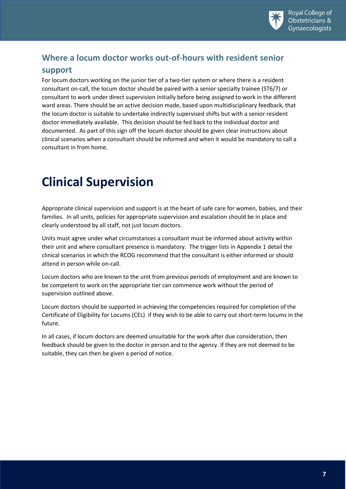

### <span id="page-6-0"></span>**Where a locum doctor works out-of-hours with resident senior**

#### **support**

For locum doctors working on the junior tier of a two-tier system or where there is a resident consultant on-call, the locum doctor should be paired with a senior specialty trainee (ST6/7) or consultant to work under direct supervision initially before being assigned to work in the different ward areas. There should be an active decision made, based upon multidisciplinary feedback, that the locum doctor is suitable to undertake indirectly supervised shifts but with a senior resident doctor immediately available. This decision should be fed back to the individual doctor and documented. As part of this sign off the locum doctor should be given clear instructions about clinical scenarios when a consultant should be informed and when it would be mandatory to call a consultant in from home.

## <span id="page-6-1"></span>**Clinical Supervision**

Appropriate clinical supervision and support is at the heart of safe care for women, babies, and their families. In all units, policies for appropriate supervision and escalation should be in place and clearly understood by all staff, not just locum doctors.

Units must agree under what circumstances a consultant must be informed about activity within their unit and where consultant presence is mandatory. The trigger lists in Appendix 1 detail the clinical scenarios in which the RCOG recommend that the consultant is either informed or should attend in person while on-call.

Locum doctors who are known to the unit from previous periods of employment and are known to be competent to work on the appropriate tier can commence work without the period of supervision outlined above.

Locum doctors should be supported in achieving the competencies required for completion of the Certificate of Eligibility for Locums (CEL) if they wish to be able to carry out short-term locums in the future.

In all cases, if locum doctors are deemed unsuitable for the work after due consideration, then feedback should be given to the doctor in person and to the agency. If they are not deemed to be suitable, they can then be given a period of notice.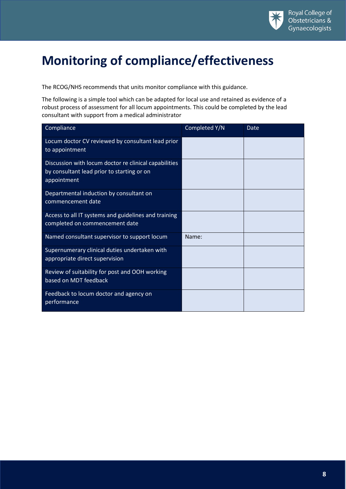

# <span id="page-7-0"></span>**Monitoring of compliance/effectiveness**

The RCOG/NHS recommends that units monitor compliance with this guidance.

The following is a simple tool which can be adapted for local use and retained as evidence of a robust process of assessment for all locum appointments. This could be completed by the lead consultant with support from a medical administrator

| Compliance                                                                                                         | Completed Y/N | Date |
|--------------------------------------------------------------------------------------------------------------------|---------------|------|
| Locum doctor CV reviewed by consultant lead prior<br>to appointment                                                |               |      |
| Discussion with locum doctor re clinical capabilities<br>by consultant lead prior to starting or on<br>appointment |               |      |
| Departmental induction by consultant on<br>commencement date                                                       |               |      |
| Access to all IT systems and guidelines and training<br>completed on commencement date                             |               |      |
| Named consultant supervisor to support locum                                                                       | Name:         |      |
| Supernumerary clinical duties undertaken with<br>appropriate direct supervision                                    |               |      |
| Review of suitability for post and OOH working<br>based on MDT feedback                                            |               |      |
| Feedback to locum doctor and agency on<br>performance                                                              |               |      |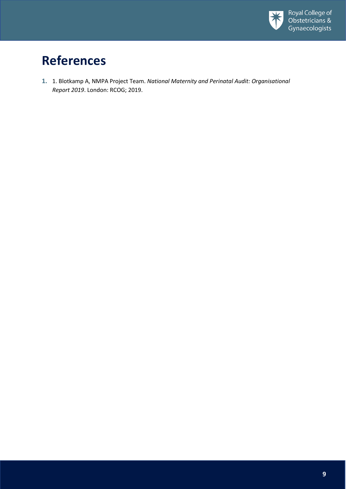

# **References**

**1.** 1. Blotkamp A, NMPA Project Team. *National Maternity and Perinatal Audit: Organisational Report 2019*. London: RCOG; 2019.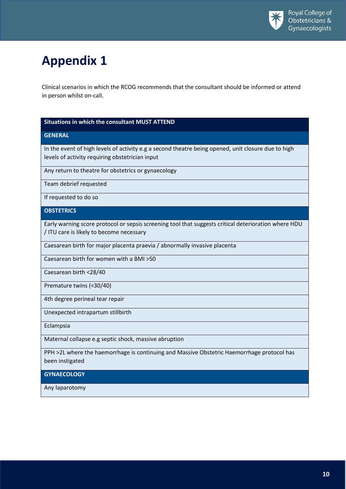# <span id="page-9-0"></span>**Appendix 1**

Clinical scenarios in which the RCOG recommends that the consultant should be informed or attend in person whilst on-call.

#### **Situations in which the consultant MUST ATTEND**

#### **GENERAL**

In the event of high levels of activity e.g a second theatre being opened, unit closure due to high levels of activity requiring obstetrician input

Any return to theatre for obstetrics or gynaecology

Team debrief requested

If requested to do so

#### **OBSTETRICS**

Early warning score protocol or sepsis screening tool that suggests critical deterioration where HDU / ITU care is likely to become necessary

Caesarean birth for major placenta praevia / abnormally invasive placenta

Caesarean birth for women with a BMI >50

Caesarean birth <28/40

Premature twins (<30/40)

4th degree perineal tear repair

Unexpected intrapartum stillbirth

Eclampsia

Maternal collapse e.g septic shock, massive abruption

PPH >2L where the haemorrhage is continuing and Massive Obstetric Haemorrhage protocol has been instigated

#### **GYNAECOLOGY**

Any laparotomy